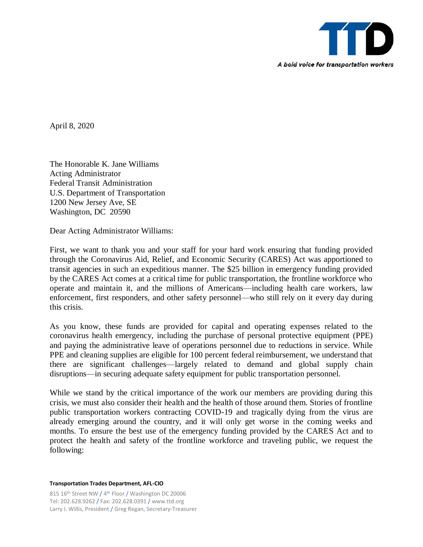

April 8, 2020

The Honorable K. Jane Williams Acting Administrator Federal Transit Administration U.S. Department of Transportation 1200 New Jersey Ave, SE Washington, DC 20590

Dear Acting Administrator Williams:

First, we want to thank you and your staff for your hard work ensuring that funding provided through the Coronavirus Aid, Relief, and Economic Security (CARES) Act was apportioned to transit agencies in such an expeditious manner. The \$25 billion in emergency funding provided by the CARES Act comes at a critical time for public transportation, the frontline workforce who operate and maintain it, and the millions of Americans—including health care workers, law enforcement, first responders, and other safety personnel—who still rely on it every day during this crisis.

As you know, these funds are provided for capital and operating expenses related to the coronavirus health emergency, including the purchase of personal protective equipment (PPE) and paying the administrative leave of operations personnel due to reductions in service. While PPE and cleaning supplies are eligible for 100 percent federal reimbursement, we understand that there are significant challenges—largely related to demand and global supply chain disruptions—in securing adequate safety equipment for public transportation personnel.

While we stand by the critical importance of the work our members are providing during this crisis, we must also consider their health and the health of those around them. Stories of frontline public transportation workers contracting COVID-19 and tragically dying from the virus are already emerging around the country, and it will only get worse in the coming weeks and months. To ensure the best use of the emergency funding provided by the CARES Act and to protect the health and safety of the frontline workforce and traveling public, we request the following:

**Transportation Trades Department, AFL-CIO**

815 16<sup>th</sup> Street NW / 4<sup>th</sup> Floor / Washington DC 20006 Tel: 202.628.9262 / Fax: 202.628.0391 / www.ttd.org Larry I. Willis, President / Greg Regan, Secretary-Treasurer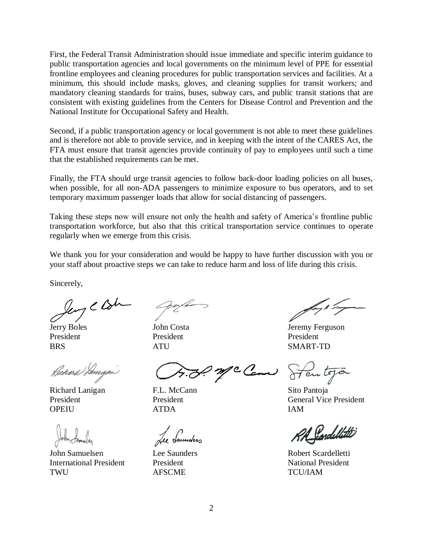First, the Federal Transit Administration should issue immediate and specific interim guidance to public transportation agencies and local governments on the minimum level of PPE for essential frontline employees and cleaning procedures for public transportation services and facilities. At a minimum, this should include masks, gloves, and cleaning supplies for transit workers; and mandatory cleaning standards for trains, buses, subway cars, and public transit stations that are consistent with existing guidelines from the Centers for Disease Control and Prevention and the National Institute for Occupational Safety and Health.

Second, if a public transportation agency or local government is not able to meet these guidelines and is therefore not able to provide service, and in keeping with the intent of the CARES Act, the FTA must ensure that transit agencies provide continuity of pay to employees until such a time that the established requirements can be met.

Finally, the FTA should urge transit agencies to follow back-door loading policies on all buses, when possible, for all non-ADA passengers to minimize exposure to bus operators, and to set temporary maximum passenger loads that allow for social distancing of passengers.

Taking these steps now will ensure not only the health and safety of America's frontline public transportation workforce, but also that this critical transportation service continues to operate regularly when we emerge from this crisis.

We thank you for your consideration and would be happy to have further discussion with you or your staff about proactive steps we can take to reduce harm and loss of life during this crisis.

Sincerely,

Jeny C Br

Jerry Boles President **BRS** 

Richard Lanigen

Richard Lanigan President **OPEIU** 

John Samuelsen International President **TWU** 

John Costa President ATU

McCan

F.L. McCann President ATDA

Lee Saunders President AFSCME

Jeremy Ferguson President SMART-TD

Hentoja

Sito Pantoja General Vice President IAM

Condellatt

Robert Scardelletti National President TCU/IAM